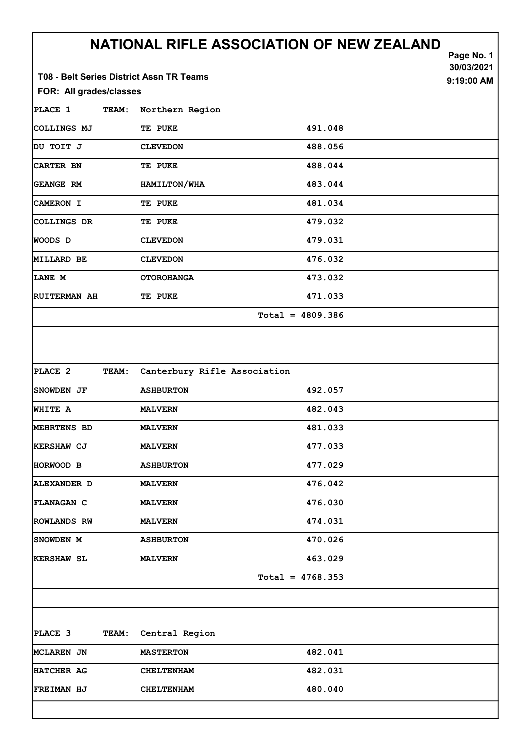|                                                                     |                              | NATIONAL RIFLE ASSOCIATION OF NEW ZEALAND | Page No. 1<br>30/03/2021 |
|---------------------------------------------------------------------|------------------------------|-------------------------------------------|--------------------------|
| T08 - Belt Series District Assn TR Teams<br>FOR: All grades/classes |                              |                                           | 9:19:00 AM               |
| PLACE 1<br><b>TEAM:</b>                                             | Northern Region              |                                           |                          |
| COLLINGS MJ                                                         | TE PUKE                      | 491.048                                   |                          |
| DU TOIT J                                                           | <b>CLEVEDON</b>              | 488.056                                   |                          |
| <b>CARTER BN</b>                                                    | TE PUKE                      | 488.044                                   |                          |
| <b>GEANGE RM</b>                                                    | HAMILTON/WHA                 | 483.044                                   |                          |
| CAMERON I                                                           | TE PUKE                      | 481.034                                   |                          |
| COLLINGS DR                                                         | TE PUKE                      | 479.032                                   |                          |
| <b>WOODS D</b>                                                      | <b>CLEVEDON</b>              | 479.031                                   |                          |
| <b>MILLARD BE</b>                                                   | <b>CLEVEDON</b>              | 476.032                                   |                          |
| LANE M                                                              | <b>OTOROHANGA</b>            | 473.032                                   |                          |
| <b>RUITERMAN AH</b>                                                 | TE PUKE                      | 471.033                                   |                          |
|                                                                     |                              | $Total = 4809.386$                        |                          |
|                                                                     |                              |                                           |                          |
|                                                                     |                              |                                           |                          |
| PLACE 2<br><b>TEAM:</b>                                             | Canterbury Rifle Association |                                           |                          |
| <b>SNOWDEN JF</b>                                                   | <b>ASHBURTON</b>             | 492.057                                   |                          |
| <b>WHITE A</b>                                                      | <b>MALVERN</b>               | 482.043                                   |                          |
| MEHRTENS BD                                                         | <b>MALVERN</b>               | 481.033                                   |                          |
| KERSHAW CJ                                                          | <b>MALVERN</b>               | 477.033                                   |                          |
| HORWOOD B                                                           | <b>ASHBURTON</b>             | 477.029                                   |                          |
| <b>ALEXANDER D</b>                                                  | <b>MALVERN</b>               | 476.042                                   |                          |
| <b>FLANAGAN C</b>                                                   | <b>MALVERN</b>               | 476.030                                   |                          |
| <b>ROWLANDS RW</b>                                                  | <b>MALVERN</b>               | 474.031                                   |                          |
| SNOWDEN M                                                           | <b>ASHBURTON</b>             | 470.026                                   |                          |
| <b>KERSHAW SL</b>                                                   | <b>MALVERN</b>               | 463.029                                   |                          |
|                                                                     |                              | $Total = 4768.353$                        |                          |
|                                                                     |                              |                                           |                          |
|                                                                     |                              |                                           |                          |
| PLACE 3<br>TEAM:                                                    | Central Region               |                                           |                          |
| <b>MCLAREN JN</b>                                                   | <b>MASTERTON</b>             | 482.041                                   |                          |
| HATCHER AG                                                          | <b>CHELTENHAM</b>            | 482.031                                   |                          |
| FREIMAN HJ                                                          | <b>CHELTENHAM</b>            | 480.040                                   |                          |
|                                                                     |                              |                                           |                          |